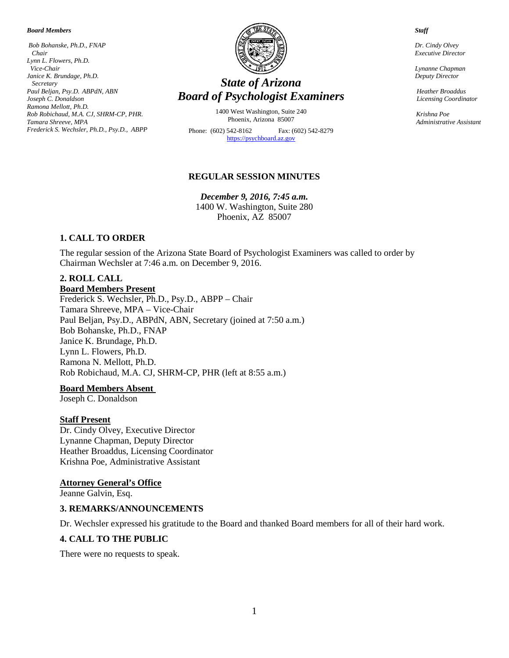#### *Board Members*

*Bob Bohanske, Ph.D., FNAP Chair Lynn L. Flowers, Ph.D. Vice-Chair Janice K. Brundage, Ph.D. Secretary Paul Beljan, Psy.D. ABPdN, ABN Joseph C. Donaldson Ramona Mellott, Ph.D. Rob Robichaud, M.A. CJ, SHRM-CP, PHR. Tamara Shreeve, MPA Frederick S. Wechsler, Ph.D., Psy.D., ABPP*



# *State of Arizona Board of Psychologist Examiners*

1400 West Washington, Suite 240 Phoenix, Arizona 85007

Phone: (602) 542-8162 Fax: (602) 542-8279 [https://psychboard.az.gov](https://psychboard.az.gov/)

#### **REGULAR SESSION MINUTES**

*December 9, 2016, 7:45 a.m.*  1400 W. Washington, Suite 280 Phoenix, AZ 85007

#### **1. CALL TO ORDER**

The regular session of the Arizona State Board of Psychologist Examiners was called to order by Chairman Wechsler at 7:46 a.m. on December 9, 2016.

#### **2. ROLL CALL Board Members Present**

Frederick S. Wechsler, Ph.D., Psy.D., ABPP – Chair Tamara Shreeve, MPA – Vice-Chair Paul Beljan, Psy.D., ABPdN, ABN, Secretary (joined at 7:50 a.m.) Bob Bohanske, Ph.D., FNAP Janice K. Brundage, Ph.D. Lynn L. Flowers, Ph.D. Ramona N. Mellott, Ph.D. Rob Robichaud, M.A. CJ, SHRM-CP, PHR (left at 8:55 a.m.)

#### **Board Members Absent**

Joseph C. Donaldson

#### **Staff Present**

Dr. Cindy Olvey, Executive Director Lynanne Chapman, Deputy Director Heather Broaddus, Licensing Coordinator Krishna Poe, Administrative Assistant

#### **Attorney General's Office**

Jeanne Galvin, Esq.

#### **3. REMARKS/ANNOUNCEMENTS**

Dr. Wechsler expressed his gratitude to the Board and thanked Board members for all of their hard work.

#### **4. CALL TO THE PUBLIC**

There were no requests to speak.

 *Dr. Cindy Olvey*

 *Staff*

 *Executive Director*

 *Lynanne Chapman Deputy Director*

 *Heather Broaddus Licensing Coordinator*

 *Krishna Poe Administrative Assistant*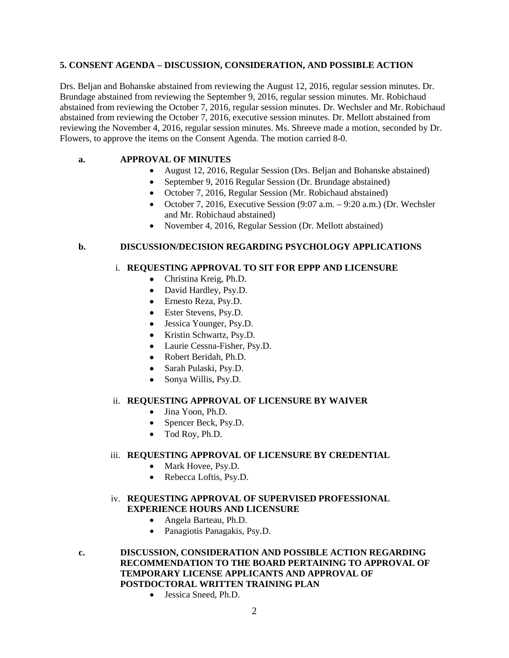#### **5. CONSENT AGENDA – DISCUSSION, CONSIDERATION, AND POSSIBLE ACTION**

Drs. Beljan and Bohanske abstained from reviewing the August 12, 2016, regular session minutes. Dr. Brundage abstained from reviewing the September 9, 2016, regular session minutes. Mr. Robichaud abstained from reviewing the October 7, 2016, regular session minutes. Dr. Wechsler and Mr. Robichaud abstained from reviewing the October 7, 2016, executive session minutes. Dr. Mellott abstained from reviewing the November 4, 2016, regular session minutes. Ms. Shreeve made a motion, seconded by Dr. Flowers, to approve the items on the Consent Agenda. The motion carried 8-0.

## **a. APPROVAL OF MINUTES**

- August 12, 2016, Regular Session (Drs. Beljan and Bohanske abstained)
- September 9, 2016 Regular Session (Dr. Brundage abstained)
- October 7, 2016, Regular Session (Mr. Robichaud abstained)
- October 7, 2016, Executive Session  $(9:07 \text{ a.m.} 9:20 \text{ a.m.})$  (Dr. Wechsler and Mr. Robichaud abstained)
- November 4, 2016, Regular Session (Dr. Mellott abstained)

#### **b. DISCUSSION/DECISION REGARDING PSYCHOLOGY APPLICATIONS**

#### i. **REQUESTING APPROVAL TO SIT FOR EPPP AND LICENSURE**

- Christina Kreig, Ph.D.
- David Hardley, Psy.D.
- Ernesto Reza, Psy.D.
- Ester Stevens, Psy.D.
- Jessica Younger, Psy.D.
- Kristin Schwartz, Psy.D.
- Laurie Cessna-Fisher, Psy.D.
- Robert Beridah, Ph.D.
- Sarah Pulaski, Psy.D.
- Sonya Willis, Psy.D.

### ii. **REQUESTING APPROVAL OF LICENSURE BY WAIVER**

- Jina Yoon, Ph.D.
- Spencer Beck, Psy.D.
- Tod Roy, Ph.D.

#### iii. **REQUESTING APPROVAL OF LICENSURE BY CREDENTIAL**

- Mark Hovee, Psy.D.
- Rebecca Loftis, Psy.D.

### iv. **REQUESTING APPROVAL OF SUPERVISED PROFESSIONAL EXPERIENCE HOURS AND LICENSURE**

- Angela Barteau, Ph.D.
- Panagiotis Panagakis, Psy.D.
- **c. DISCUSSION, CONSIDERATION AND POSSIBLE ACTION REGARDING RECOMMENDATION TO THE BOARD PERTAINING TO APPROVAL OF TEMPORARY LICENSE APPLICANTS AND APPROVAL OF POSTDOCTORAL WRITTEN TRAINING PLAN**
	- Jessica Sneed, Ph.D.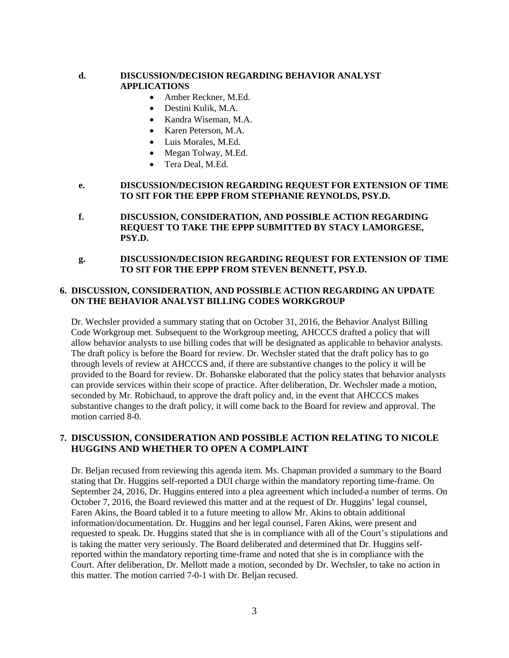### **d. DISCUSSION/DECISION REGARDING BEHAVIOR ANALYST APPLICATIONS**

- Amber Reckner, M.Ed.
- Destini Kulik, M.A.
- Kandra Wiseman, M.A.
- Karen Peterson, M.A.
- Luis Morales, M.Ed.
- Megan Tolway, M.Ed.
- Tera Deal, M.Ed.

#### **e. DISCUSSION/DECISION REGARDING REQUEST FOR EXTENSION OF TIME TO SIT FOR THE EPPP FROM STEPHANIE REYNOLDS, PSY.D.**

- **f. DISCUSSION, CONSIDERATION, AND POSSIBLE ACTION REGARDING REQUEST TO TAKE THE EPPP SUBMITTED BY STACY LAMORGESE, PSY.D.**
- **g. DISCUSSION/DECISION REGARDING REQUEST FOR EXTENSION OF TIME TO SIT FOR THE EPPP FROM STEVEN BENNETT, PSY.D.**

## **6. DISCUSSION, CONSIDERATION, AND POSSIBLE ACTION REGARDING AN UPDATE ON THE BEHAVIOR ANALYST BILLING CODES WORKGROUP**

Dr. Wechsler provided a summary stating that on October 31, 2016, the Behavior Analyst Billing Code Workgroup met. Subsequent to the Workgroup meeting, AHCCCS drafted a policy that will allow behavior analysts to use billing codes that will be designated as applicable to behavior analysts. The draft policy is before the Board for review. Dr. Wechsler stated that the draft policy has to go through levels of review at AHCCCS and, if there are substantive changes to the policy it will be provided to the Board for review. Dr. Bohanske elaborated that the policy states that behavior analysts can provide services within their scope of practice. After deliberation, Dr. Wechsler made a motion, seconded by Mr. Robichaud, to approve the draft policy and, in the event that AHCCCS makes substantive changes to the draft policy, it will come back to the Board for review and approval. The motion carried 8-0.

## **7. DISCUSSION, CONSIDERATION AND POSSIBLE ACTION RELATING TO NICOLE HUGGINS AND WHETHER TO OPEN A COMPLAINT**

Dr. Beljan recused from reviewing this agenda item. Ms. Chapman provided a summary to the Board stating that Dr. Huggins self-reported a DUI charge within the mandatory reporting time-frame. On September 24, 2016, Dr. Huggins entered into a plea agreement which included a number of terms. On October 7, 2016, the Board reviewed this matter and at the request of Dr. Huggins' legal counsel, Faren Akins, the Board tabled it to a future meeting to allow Mr. Akins to obtain additional information/documentation. Dr. Huggins and her legal counsel, Faren Akins, were present and requested to speak. Dr. Huggins stated that she is in compliance with all of the Court's stipulations and is taking the matter very seriously. The Board deliberated and determined that Dr. Huggins selfreported within the mandatory reporting time-frame and noted that she is in compliance with the Court. After deliberation, Dr. Mellott made a motion, seconded by Dr. Wechsler, to take no action in this matter. The motion carried 7-0-1 with Dr. Beljan recused.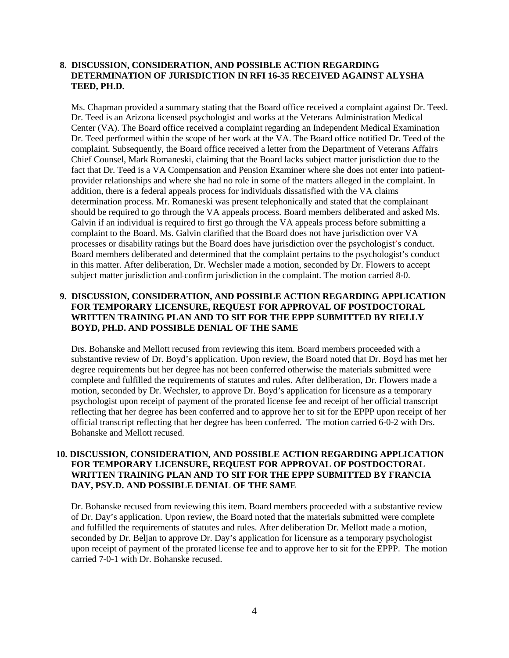#### **8. DISCUSSION, CONSIDERATION, AND POSSIBLE ACTION REGARDING DETERMINATION OF JURISDICTION IN RFI 16-35 RECEIVED AGAINST ALYSHA TEED, PH.D.**

Ms. Chapman provided a summary stating that the Board office received a complaint against Dr. Teed. Dr. Teed is an Arizona licensed psychologist and works at the Veterans Administration Medical Center (VA). The Board office received a complaint regarding an Independent Medical Examination Dr. Teed performed within the scope of her work at the VA. The Board office notified Dr. Teed of the complaint. Subsequently, the Board office received a letter from the Department of Veterans Affairs Chief Counsel, Mark Romaneski, claiming that the Board lacks subject matter jurisdiction due to the fact that Dr. Teed is a VA Compensation and Pension Examiner where she does not enter into patientprovider relationships and where she had no role in some of the matters alleged in the complaint. In addition, there is a federal appeals process for individuals dissatisfied with the VA claims determination process. Mr. Romaneski was present telephonically and stated that the complainant should be required to go through the VA appeals process. Board members deliberated and asked Ms. Galvin if an individual is required to first go through the VA appeals process before submitting a complaint to the Board. Ms. Galvin clarified that the Board does not have jurisdiction over VA processes or disability ratings but the Board does have jurisdiction over the psychologist's conduct. Board members deliberated and determined that the complaint pertains to the psychologist's conduct in this matter. After deliberation, Dr. Wechsler made a motion, seconded by Dr. Flowers to accept subject matter jurisdiction and confirm jurisdiction in the complaint. The motion carried 8-0.

### **9. DISCUSSION, CONSIDERATION, AND POSSIBLE ACTION REGARDING APPLICATION FOR TEMPORARY LICENSURE, REQUEST FOR APPROVAL OF POSTDOCTORAL WRITTEN TRAINING PLAN AND TO SIT FOR THE EPPP SUBMITTED BY RIELLY BOYD, PH.D. AND POSSIBLE DENIAL OF THE SAME**

Drs. Bohanske and Mellott recused from reviewing this item. Board members proceeded with a substantive review of Dr. Boyd's application. Upon review, the Board noted that Dr. Boyd has met her degree requirements but her degree has not been conferred otherwise the materials submitted were complete and fulfilled the requirements of statutes and rules. After deliberation, Dr. Flowers made a motion, seconded by Dr. Wechsler, to approve Dr. Boyd's application for licensure as a temporary psychologist upon receipt of payment of the prorated license fee and receipt of her official transcript reflecting that her degree has been conferred and to approve her to sit for the EPPP upon receipt of her official transcript reflecting that her degree has been conferred. The motion carried 6-0-2 with Drs. Bohanske and Mellott recused.

#### **10. DISCUSSION, CONSIDERATION, AND POSSIBLE ACTION REGARDING APPLICATION FOR TEMPORARY LICENSURE, REQUEST FOR APPROVAL OF POSTDOCTORAL WRITTEN TRAINING PLAN AND TO SIT FOR THE EPPP SUBMITTED BY FRANCIA DAY, PSY.D. AND POSSIBLE DENIAL OF THE SAME**

Dr. Bohanske recused from reviewing this item. Board members proceeded with a substantive review of Dr. Day's application. Upon review, the Board noted that the materials submitted were complete and fulfilled the requirements of statutes and rules. After deliberation Dr. Mellott made a motion, seconded by Dr. Beljan to approve Dr. Day's application for licensure as a temporary psychologist upon receipt of payment of the prorated license fee and to approve her to sit for the EPPP. The motion carried 7-0-1 with Dr. Bohanske recused.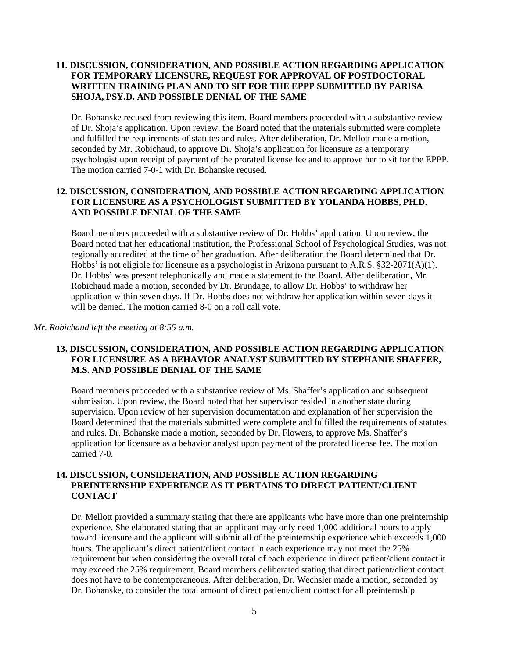### **11. DISCUSSION, CONSIDERATION, AND POSSIBLE ACTION REGARDING APPLICATION FOR TEMPORARY LICENSURE, REQUEST FOR APPROVAL OF POSTDOCTORAL WRITTEN TRAINING PLAN AND TO SIT FOR THE EPPP SUBMITTED BY PARISA SHOJA, PSY.D. AND POSSIBLE DENIAL OF THE SAME**

Dr. Bohanske recused from reviewing this item. Board members proceeded with a substantive review of Dr. Shoja's application. Upon review, the Board noted that the materials submitted were complete and fulfilled the requirements of statutes and rules. After deliberation, Dr. Mellott made a motion, seconded by Mr. Robichaud, to approve Dr. Shoja's application for licensure as a temporary psychologist upon receipt of payment of the prorated license fee and to approve her to sit for the EPPP. The motion carried 7-0-1 with Dr. Bohanske recused.

### **12. DISCUSSION, CONSIDERATION, AND POSSIBLE ACTION REGARDING APPLICATION FOR LICENSURE AS A PSYCHOLOGIST SUBMITTED BY YOLANDA HOBBS, PH.D. AND POSSIBLE DENIAL OF THE SAME**

Board members proceeded with a substantive review of Dr. Hobbs' application. Upon review, the Board noted that her educational institution, the Professional School of Psychological Studies, was not regionally accredited at the time of her graduation. After deliberation the Board determined that Dr. Hobbs' is not eligible for licensure as a psychologist in Arizona pursuant to A.R.S. §32-2071(A)(1). Dr. Hobbs' was present telephonically and made a statement to the Board. After deliberation, Mr. Robichaud made a motion, seconded by Dr. Brundage, to allow Dr. Hobbs' to withdraw her application within seven days. If Dr. Hobbs does not withdraw her application within seven days it will be denied. The motion carried 8-0 on a roll call vote.

#### *Mr. Robichaud left the meeting at 8:55 a.m.*

### **13. DISCUSSION, CONSIDERATION, AND POSSIBLE ACTION REGARDING APPLICATION FOR LICENSURE AS A BEHAVIOR ANALYST SUBMITTED BY STEPHANIE SHAFFER, M.S. AND POSSIBLE DENIAL OF THE SAME**

Board members proceeded with a substantive review of Ms. Shaffer's application and subsequent submission. Upon review, the Board noted that her supervisor resided in another state during supervision. Upon review of her supervision documentation and explanation of her supervision the Board determined that the materials submitted were complete and fulfilled the requirements of statutes and rules. Dr. Bohanske made a motion, seconded by Dr. Flowers, to approve Ms. Shaffer's application for licensure as a behavior analyst upon payment of the prorated license fee. The motion carried 7-0.

### **14. DISCUSSION, CONSIDERATION, AND POSSIBLE ACTION REGARDING PREINTERNSHIP EXPERIENCE AS IT PERTAINS TO DIRECT PATIENT/CLIENT CONTACT**

Dr. Mellott provided a summary stating that there are applicants who have more than one preinternship experience. She elaborated stating that an applicant may only need 1,000 additional hours to apply toward licensure and the applicant will submit all of the preinternship experience which exceeds 1,000 hours. The applicant's direct patient/client contact in each experience may not meet the 25% requirement but when considering the overall total of each experience in direct patient/client contact it may exceed the 25% requirement. Board members deliberated stating that direct patient/client contact does not have to be contemporaneous. After deliberation, Dr. Wechsler made a motion, seconded by Dr. Bohanske, to consider the total amount of direct patient/client contact for all preinternship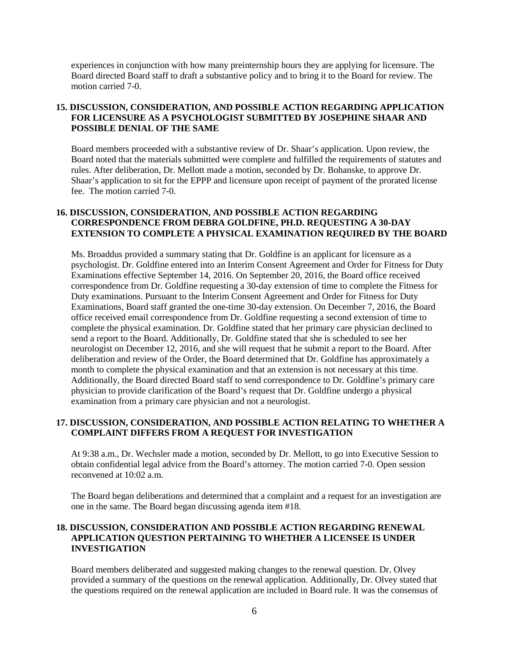experiences in conjunction with how many preinternship hours they are applying for licensure. The Board directed Board staff to draft a substantive policy and to bring it to the Board for review. The motion carried 7-0.

## **15. DISCUSSION, CONSIDERATION, AND POSSIBLE ACTION REGARDING APPLICATION FOR LICENSURE AS A PSYCHOLOGIST SUBMITTED BY JOSEPHINE SHAAR AND POSSIBLE DENIAL OF THE SAME**

Board members proceeded with a substantive review of Dr. Shaar's application. Upon review, the Board noted that the materials submitted were complete and fulfilled the requirements of statutes and rules. After deliberation, Dr. Mellott made a motion, seconded by Dr. Bohanske, to approve Dr. Shaar's application to sit for the EPPP and licensure upon receipt of payment of the prorated license fee. The motion carried 7-0.

### **16. DISCUSSION, CONSIDERATION, AND POSSIBLE ACTION REGARDING CORRESPONDENCE FROM DEBRA GOLDFINE, PH.D. REQUESTING A 30-DAY EXTENSION TO COMPLETE A PHYSICAL EXAMINATION REQUIRED BY THE BOARD**

Ms. Broaddus provided a summary stating that Dr. Goldfine is an applicant for licensure as a psychologist. Dr. Goldfine entered into an Interim Consent Agreement and Order for Fitness for Duty Examinations effective September 14, 2016. On September 20, 2016, the Board office received correspondence from Dr. Goldfine requesting a 30-day extension of time to complete the Fitness for Duty examinations. Pursuant to the Interim Consent Agreement and Order for Fitness for Duty Examinations, Board staff granted the one-time 30-day extension. On December 7, 2016, the Board office received email correspondence from Dr. Goldfine requesting a second extension of time to complete the physical examination. Dr. Goldfine stated that her primary care physician declined to send a report to the Board. Additionally, Dr. Goldfine stated that she is scheduled to see her neurologist on December 12, 2016, and she will request that he submit a report to the Board. After deliberation and review of the Order, the Board determined that Dr. Goldfine has approximately a month to complete the physical examination and that an extension is not necessary at this time. Additionally, the Board directed Board staff to send correspondence to Dr. Goldfine's primary care physician to provide clarification of the Board's request that Dr. Goldfine undergo a physical examination from a primary care physician and not a neurologist.

#### **17. DISCUSSION, CONSIDERATION, AND POSSIBLE ACTION RELATING TO WHETHER A COMPLAINT DIFFERS FROM A REQUEST FOR INVESTIGATION**

At 9:38 a.m., Dr. Wechsler made a motion, seconded by Dr. Mellott, to go into Executive Session to obtain confidential legal advice from the Board's attorney. The motion carried 7-0. Open session reconvened at 10:02 a.m.

The Board began deliberations and determined that a complaint and a request for an investigation are one in the same. The Board began discussing agenda item #18.

#### **18. DISCUSSION, CONSIDERATION AND POSSIBLE ACTION REGARDING RENEWAL APPLICATION QUESTION PERTAINING TO WHETHER A LICENSEE IS UNDER INVESTIGATION**

Board members deliberated and suggested making changes to the renewal question. Dr. Olvey provided a summary of the questions on the renewal application. Additionally, Dr. Olvey stated that the questions required on the renewal application are included in Board rule. It was the consensus of